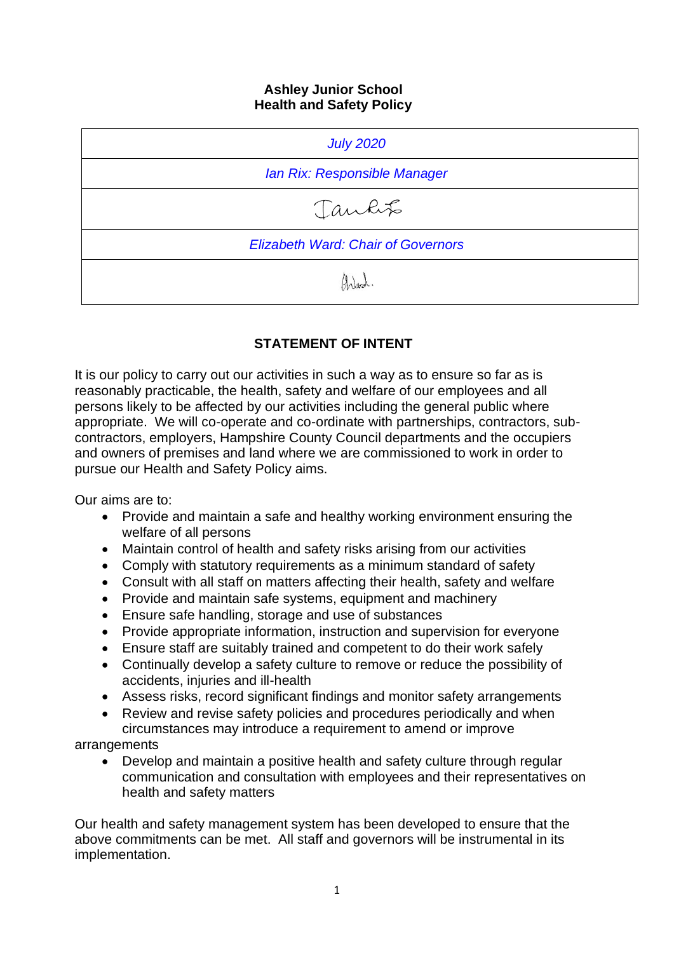#### **Ashley Junior School Health and Safety Policy**

| <b>July 2020</b>                          |
|-------------------------------------------|
| Ian Rix: Responsible Manager              |
| Jankt                                     |
| <b>Elizabeth Ward: Chair of Governors</b> |
| Anad                                      |

# **STATEMENT OF INTENT**

It is our policy to carry out our activities in such a way as to ensure so far as is reasonably practicable, the health, safety and welfare of our employees and all persons likely to be affected by our activities including the general public where appropriate. We will co-operate and co-ordinate with partnerships, contractors, subcontractors, employers, Hampshire County Council departments and the occupiers and owners of premises and land where we are commissioned to work in order to pursue our Health and Safety Policy aims.

Our aims are to:

- Provide and maintain a safe and healthy working environment ensuring the welfare of all persons
- Maintain control of health and safety risks arising from our activities
- Comply with statutory requirements as a minimum standard of safety
- Consult with all staff on matters affecting their health, safety and welfare
- Provide and maintain safe systems, equipment and machinery
- Ensure safe handling, storage and use of substances
- Provide appropriate information, instruction and supervision for everyone
- Ensure staff are suitably trained and competent to do their work safely
- Continually develop a safety culture to remove or reduce the possibility of accidents, injuries and ill-health
- Assess risks, record significant findings and monitor safety arrangements
- Review and revise safety policies and procedures periodically and when circumstances may introduce a requirement to amend or improve

arrangements

• Develop and maintain a positive health and safety culture through regular communication and consultation with employees and their representatives on health and safety matters

Our health and safety management system has been developed to ensure that the above commitments can be met. All staff and governors will be instrumental in its implementation.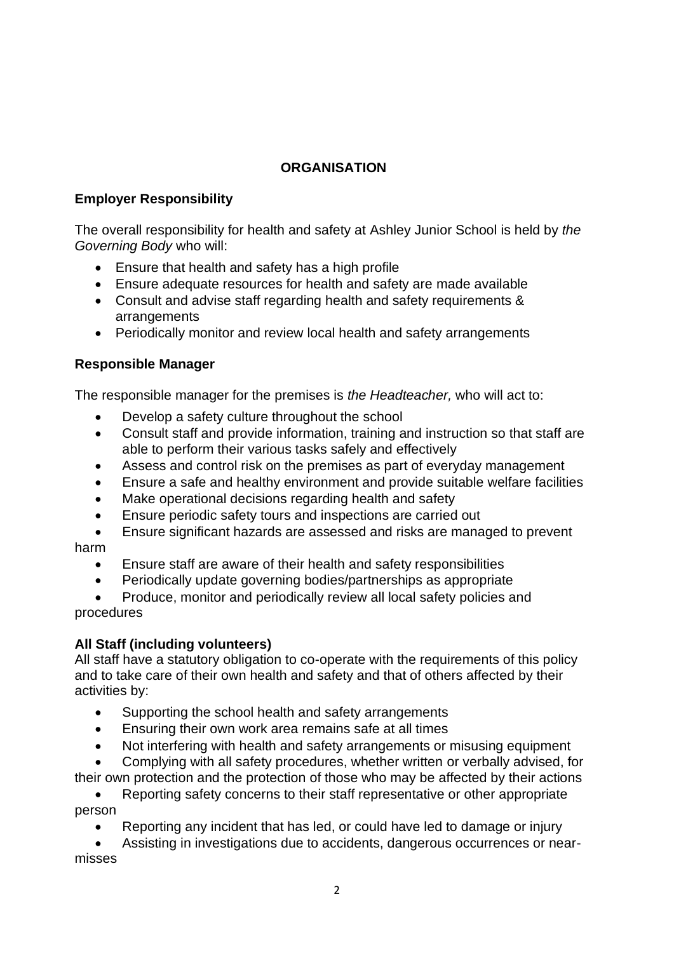# **ORGANISATION**

# **Employer Responsibility**

The overall responsibility for health and safety at Ashley Junior School is held by *the Governing Body* who will:

- Ensure that health and safety has a high profile
- Ensure adequate resources for health and safety are made available
- Consult and advise staff regarding health and safety requirements & arrangements
- Periodically monitor and review local health and safety arrangements

# **Responsible Manager**

The responsible manager for the premises is *the Headteacher,* who will act to:

- Develop a safety culture throughout the school
- Consult staff and provide information, training and instruction so that staff are able to perform their various tasks safely and effectively
- Assess and control risk on the premises as part of everyday management
- Ensure a safe and healthy environment and provide suitable welfare facilities
- Make operational decisions regarding health and safety
- Ensure periodic safety tours and inspections are carried out
- Ensure significant hazards are assessed and risks are managed to prevent harm
	- Ensure staff are aware of their health and safety responsibilities
	- Periodically update governing bodies/partnerships as appropriate

• Produce, monitor and periodically review all local safety policies and procedures

# **All Staff (including volunteers)**

All staff have a statutory obligation to co-operate with the requirements of this policy and to take care of their own health and safety and that of others affected by their activities by:

- Supporting the school health and safety arrangements
- Ensuring their own work area remains safe at all times
- Not interfering with health and safety arrangements or misusing equipment
- Complying with all safety procedures, whether written or verbally advised, for

their own protection and the protection of those who may be affected by their actions

• Reporting safety concerns to their staff representative or other appropriate person

• Reporting any incident that has led, or could have led to damage or injury

• Assisting in investigations due to accidents, dangerous occurrences or nearmisses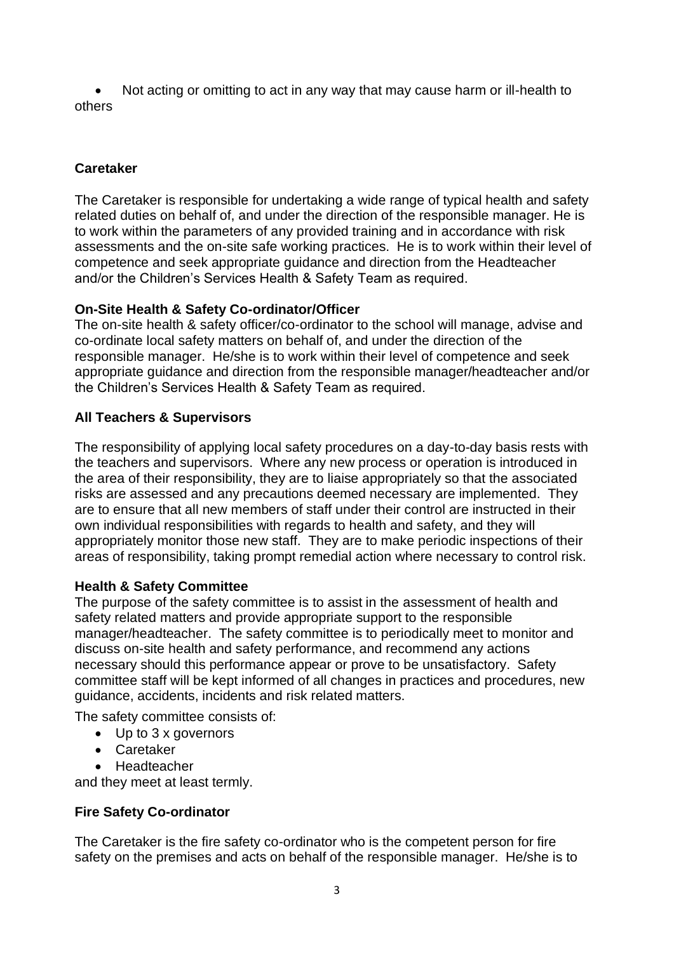• Not acting or omitting to act in any way that may cause harm or ill-health to others

# **Caretaker**

The Caretaker is responsible for undertaking a wide range of typical health and safety related duties on behalf of, and under the direction of the responsible manager. He is to work within the parameters of any provided training and in accordance with risk assessments and the on-site safe working practices. He is to work within their level of competence and seek appropriate guidance and direction from the Headteacher and/or the Children's Services Health & Safety Team as required.

# **On-Site Health & Safety Co-ordinator/Officer**

The on-site health & safety officer/co-ordinator to the school will manage, advise and co-ordinate local safety matters on behalf of, and under the direction of the responsible manager. He/she is to work within their level of competence and seek appropriate guidance and direction from the responsible manager/headteacher and/or the Children's Services Health & Safety Team as required.

# **All Teachers & Supervisors**

The responsibility of applying local safety procedures on a day-to-day basis rests with the teachers and supervisors. Where any new process or operation is introduced in the area of their responsibility, they are to liaise appropriately so that the associated risks are assessed and any precautions deemed necessary are implemented. They are to ensure that all new members of staff under their control are instructed in their own individual responsibilities with regards to health and safety, and they will appropriately monitor those new staff. They are to make periodic inspections of their areas of responsibility, taking prompt remedial action where necessary to control risk.

# **Health & Safety Committee**

The purpose of the safety committee is to assist in the assessment of health and safety related matters and provide appropriate support to the responsible manager/headteacher. The safety committee is to periodically meet to monitor and discuss on-site health and safety performance, and recommend any actions necessary should this performance appear or prove to be unsatisfactory. Safety committee staff will be kept informed of all changes in practices and procedures, new guidance, accidents, incidents and risk related matters.

The safety committee consists of:

- Up to 3 x governors
- Caretaker
- Headteacher

and they meet at least termly.

# **Fire Safety Co-ordinator**

The Caretaker is the fire safety co-ordinator who is the competent person for fire safety on the premises and acts on behalf of the responsible manager. He/she is to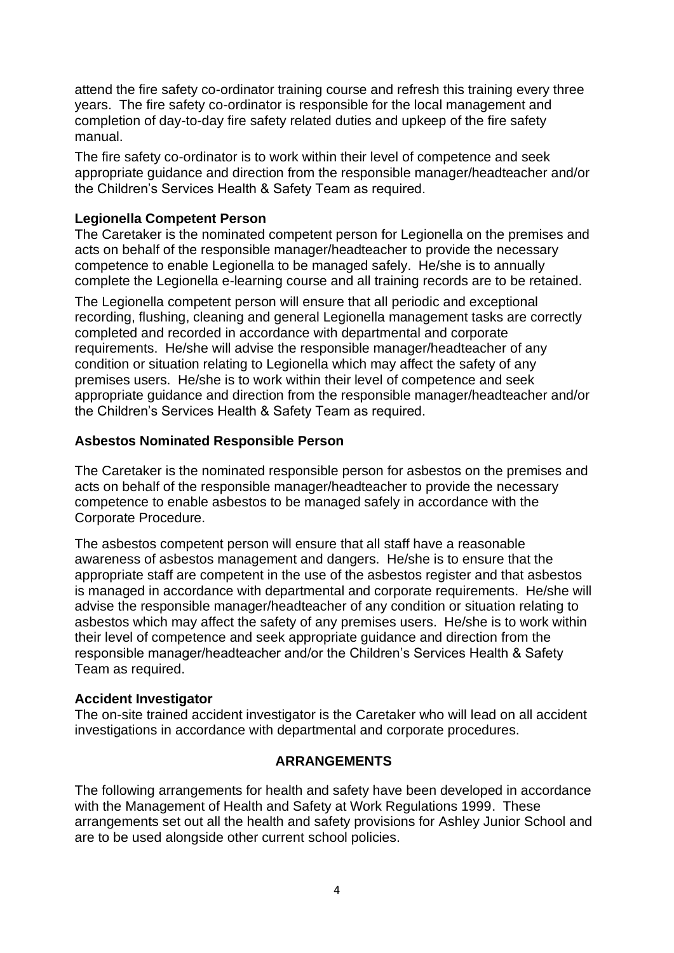attend the fire safety co-ordinator training course and refresh this training every three years. The fire safety co-ordinator is responsible for the local management and completion of day-to-day fire safety related duties and upkeep of the fire safety manual.

The fire safety co-ordinator is to work within their level of competence and seek appropriate guidance and direction from the responsible manager/headteacher and/or the Children's Services Health & Safety Team as required.

## **Legionella Competent Person**

The Caretaker is the nominated competent person for Legionella on the premises and acts on behalf of the responsible manager/headteacher to provide the necessary competence to enable Legionella to be managed safely. He/she is to annually complete the Legionella e-learning course and all training records are to be retained.

The Legionella competent person will ensure that all periodic and exceptional recording, flushing, cleaning and general Legionella management tasks are correctly completed and recorded in accordance with departmental and corporate requirements. He/she will advise the responsible manager/headteacher of any condition or situation relating to Legionella which may affect the safety of any premises users. He/she is to work within their level of competence and seek appropriate guidance and direction from the responsible manager/headteacher and/or the Children's Services Health & Safety Team as required.

## **Asbestos Nominated Responsible Person**

The Caretaker is the nominated responsible person for asbestos on the premises and acts on behalf of the responsible manager/headteacher to provide the necessary competence to enable asbestos to be managed safely in accordance with the Corporate Procedure.

The asbestos competent person will ensure that all staff have a reasonable awareness of asbestos management and dangers. He/she is to ensure that the appropriate staff are competent in the use of the asbestos register and that asbestos is managed in accordance with departmental and corporate requirements. He/she will advise the responsible manager/headteacher of any condition or situation relating to asbestos which may affect the safety of any premises users. He/she is to work within their level of competence and seek appropriate guidance and direction from the responsible manager/headteacher and/or the Children's Services Health & Safety Team as required.

### **Accident Investigator**

The on-site trained accident investigator is the Caretaker who will lead on all accident investigations in accordance with departmental and corporate procedures.

# **ARRANGEMENTS**

The following arrangements for health and safety have been developed in accordance with the Management of Health and Safety at Work Regulations 1999. These arrangements set out all the health and safety provisions for Ashley Junior School and are to be used alongside other current school policies.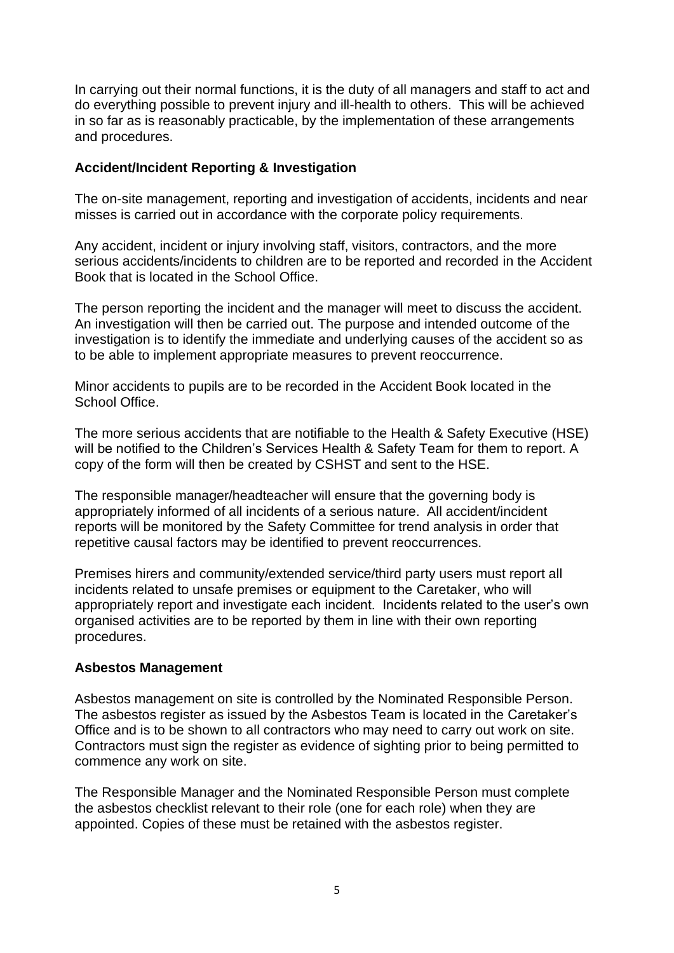In carrying out their normal functions, it is the duty of all managers and staff to act and do everything possible to prevent injury and ill-health to others. This will be achieved in so far as is reasonably practicable, by the implementation of these arrangements and procedures.

### **Accident/Incident Reporting & Investigation**

The on-site management, reporting and investigation of accidents, incidents and near misses is carried out in accordance with the corporate policy requirements.

Any accident, incident or injury involving staff, visitors, contractors, and the more serious accidents/incidents to children are to be reported and recorded in the Accident Book that is located in the School Office.

The person reporting the incident and the manager will meet to discuss the accident. An investigation will then be carried out. The purpose and intended outcome of the investigation is to identify the immediate and underlying causes of the accident so as to be able to implement appropriate measures to prevent reoccurrence.

Minor accidents to pupils are to be recorded in the Accident Book located in the School Office.

The more serious accidents that are notifiable to the Health & Safety Executive (HSE) will be notified to the Children's Services Health & Safety Team for them to report. A copy of the form will then be created by CSHST and sent to the HSE.

The responsible manager/headteacher will ensure that the governing body is appropriately informed of all incidents of a serious nature. All accident/incident reports will be monitored by the Safety Committee for trend analysis in order that repetitive causal factors may be identified to prevent reoccurrences.

Premises hirers and community/extended service/third party users must report all incidents related to unsafe premises or equipment to the Caretaker, who will appropriately report and investigate each incident. Incidents related to the user's own organised activities are to be reported by them in line with their own reporting procedures.

### **Asbestos Management**

Asbestos management on site is controlled by the Nominated Responsible Person. The asbestos register as issued by the Asbestos Team is located in the Caretaker's Office and is to be shown to all contractors who may need to carry out work on site. Contractors must sign the register as evidence of sighting prior to being permitted to commence any work on site.

The Responsible Manager and the Nominated Responsible Person must complete the asbestos checklist relevant to their role (one for each role) when they are appointed. Copies of these must be retained with the asbestos register.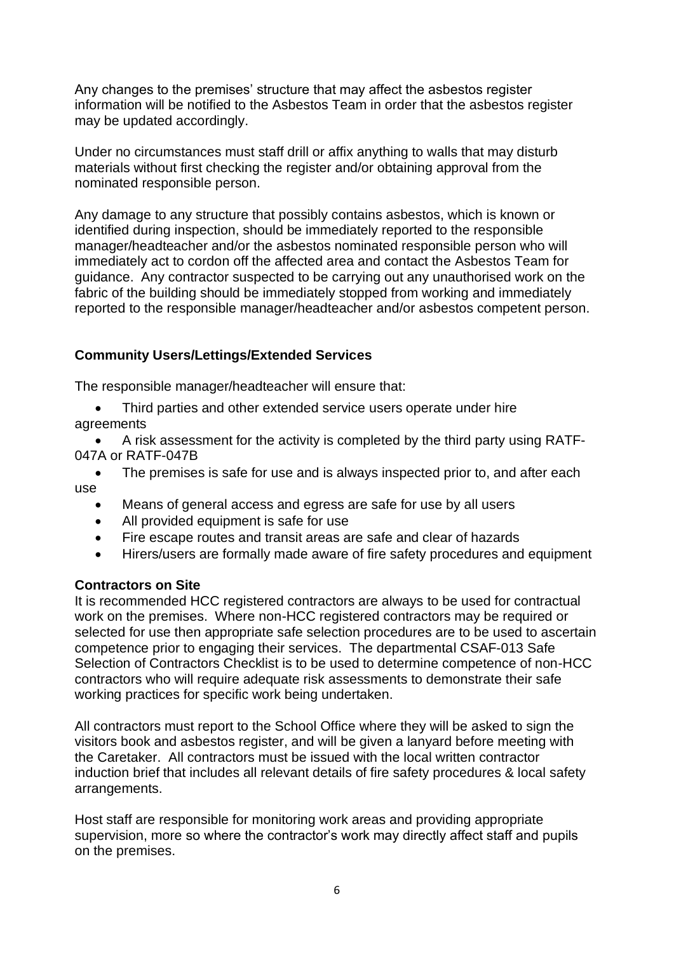Any changes to the premises' structure that may affect the asbestos register information will be notified to the Asbestos Team in order that the asbestos register may be updated accordingly.

Under no circumstances must staff drill or affix anything to walls that may disturb materials without first checking the register and/or obtaining approval from the nominated responsible person.

Any damage to any structure that possibly contains asbestos, which is known or identified during inspection, should be immediately reported to the responsible manager/headteacher and/or the asbestos nominated responsible person who will immediately act to cordon off the affected area and contact the Asbestos Team for guidance. Any contractor suspected to be carrying out any unauthorised work on the fabric of the building should be immediately stopped from working and immediately reported to the responsible manager/headteacher and/or asbestos competent person.

# **Community Users/Lettings/Extended Services**

The responsible manager/headteacher will ensure that:

Third parties and other extended service users operate under hire agreements

• A risk assessment for the activity is completed by the third party using RATF-047A or RATF-047B

- The premises is safe for use and is always inspected prior to, and after each use
	- Means of general access and egress are safe for use by all users
	- All provided equipment is safe for use
	- Fire escape routes and transit areas are safe and clear of hazards
	- Hirers/users are formally made aware of fire safety procedures and equipment

### **Contractors on Site**

It is recommended HCC registered contractors are always to be used for contractual work on the premises. Where non-HCC registered contractors may be required or selected for use then appropriate safe selection procedures are to be used to ascertain competence prior to engaging their services. The departmental CSAF-013 Safe Selection of Contractors Checklist is to be used to determine competence of non-HCC contractors who will require adequate risk assessments to demonstrate their safe working practices for specific work being undertaken.

All contractors must report to the School Office where they will be asked to sign the visitors book and asbestos register, and will be given a lanyard before meeting with the Caretaker. All contractors must be issued with the local written contractor induction brief that includes all relevant details of fire safety procedures & local safety arrangements.

Host staff are responsible for monitoring work areas and providing appropriate supervision, more so where the contractor's work may directly affect staff and pupils on the premises.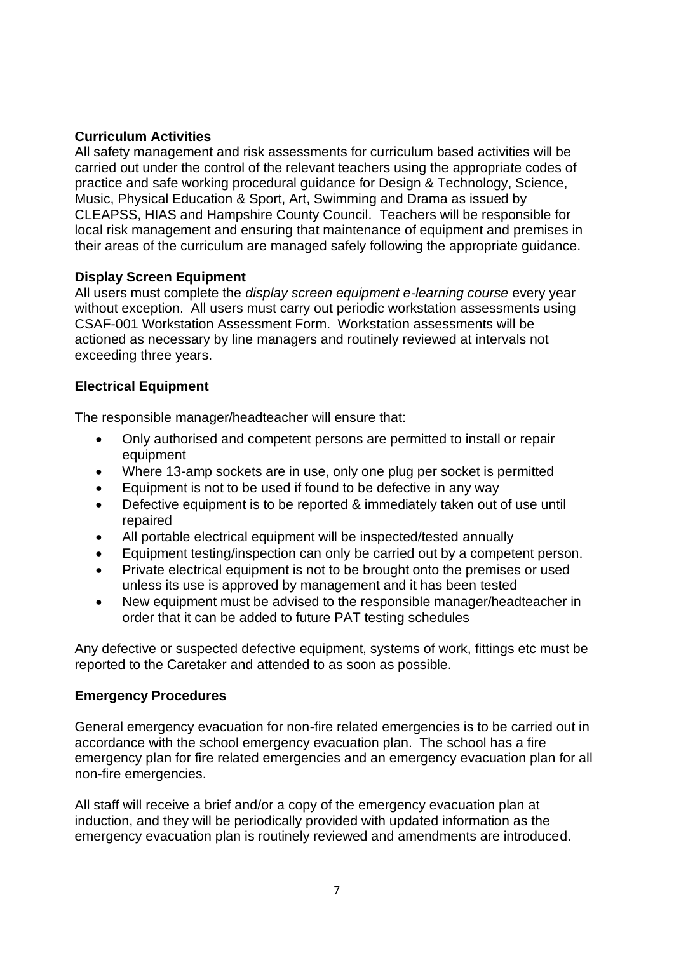# **Curriculum Activities**

All safety management and risk assessments for curriculum based activities will be carried out under the control of the relevant teachers using the appropriate codes of practice and safe working procedural guidance for Design & Technology, Science, Music, Physical Education & Sport, Art, Swimming and Drama as issued by CLEAPSS, HIAS and Hampshire County Council. Teachers will be responsible for local risk management and ensuring that maintenance of equipment and premises in their areas of the curriculum are managed safely following the appropriate guidance.

# **Display Screen Equipment**

All users must complete the *display screen equipment e-learning course* every year without exception. All users must carry out periodic workstation assessments using CSAF-001 Workstation Assessment Form. Workstation assessments will be actioned as necessary by line managers and routinely reviewed at intervals not exceeding three years.

## **Electrical Equipment**

The responsible manager/headteacher will ensure that:

- Only authorised and competent persons are permitted to install or repair equipment
- Where 13-amp sockets are in use, only one plug per socket is permitted
- Equipment is not to be used if found to be defective in any way
- Defective equipment is to be reported & immediately taken out of use until repaired
- All portable electrical equipment will be inspected/tested annually
- Equipment testing/inspection can only be carried out by a competent person.
- Private electrical equipment is not to be brought onto the premises or used unless its use is approved by management and it has been tested
- New equipment must be advised to the responsible manager/headteacher in order that it can be added to future PAT testing schedules

Any defective or suspected defective equipment, systems of work, fittings etc must be reported to the Caretaker and attended to as soon as possible.

### **Emergency Procedures**

General emergency evacuation for non-fire related emergencies is to be carried out in accordance with the school emergency evacuation plan. The school has a fire emergency plan for fire related emergencies and an emergency evacuation plan for all non-fire emergencies.

All staff will receive a brief and/or a copy of the emergency evacuation plan at induction, and they will be periodically provided with updated information as the emergency evacuation plan is routinely reviewed and amendments are introduced.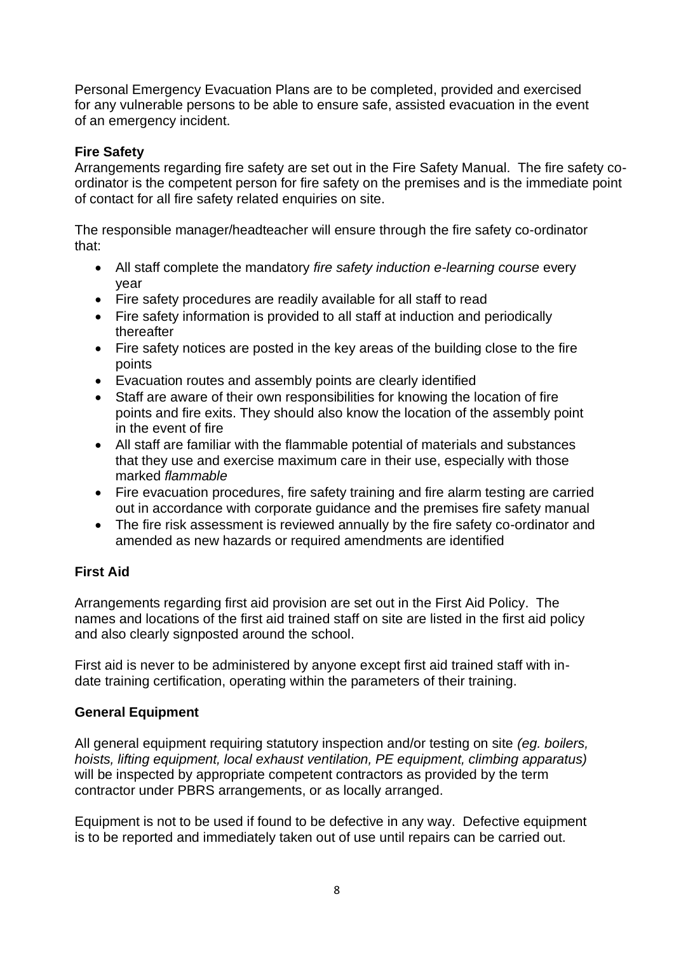Personal Emergency Evacuation Plans are to be completed, provided and exercised for any vulnerable persons to be able to ensure safe, assisted evacuation in the event of an emergency incident.

# **Fire Safety**

Arrangements regarding fire safety are set out in the Fire Safety Manual. The fire safety coordinator is the competent person for fire safety on the premises and is the immediate point of contact for all fire safety related enquiries on site.

The responsible manager/headteacher will ensure through the fire safety co-ordinator that:

- All staff complete the mandatory *fire safety induction e-learning course* every year
- Fire safety procedures are readily available for all staff to read
- Fire safety information is provided to all staff at induction and periodically thereafter
- Fire safety notices are posted in the key areas of the building close to the fire points
- Evacuation routes and assembly points are clearly identified
- Staff are aware of their own responsibilities for knowing the location of fire points and fire exits. They should also know the location of the assembly point in the event of fire
- All staff are familiar with the flammable potential of materials and substances that they use and exercise maximum care in their use, especially with those marked *flammable*
- Fire evacuation procedures, fire safety training and fire alarm testing are carried out in accordance with corporate guidance and the premises fire safety manual
- The fire risk assessment is reviewed annually by the fire safety co-ordinator and amended as new hazards or required amendments are identified

# **First Aid**

Arrangements regarding first aid provision are set out in the First Aid Policy. The names and locations of the first aid trained staff on site are listed in the first aid policy and also clearly signposted around the school.

First aid is never to be administered by anyone except first aid trained staff with indate training certification, operating within the parameters of their training.

# **General Equipment**

All general equipment requiring statutory inspection and/or testing on site *(eg. boilers, hoists, lifting equipment, local exhaust ventilation, PE equipment, climbing apparatus)* will be inspected by appropriate competent contractors as provided by the term contractor under PBRS arrangements, or as locally arranged.

Equipment is not to be used if found to be defective in any way. Defective equipment is to be reported and immediately taken out of use until repairs can be carried out.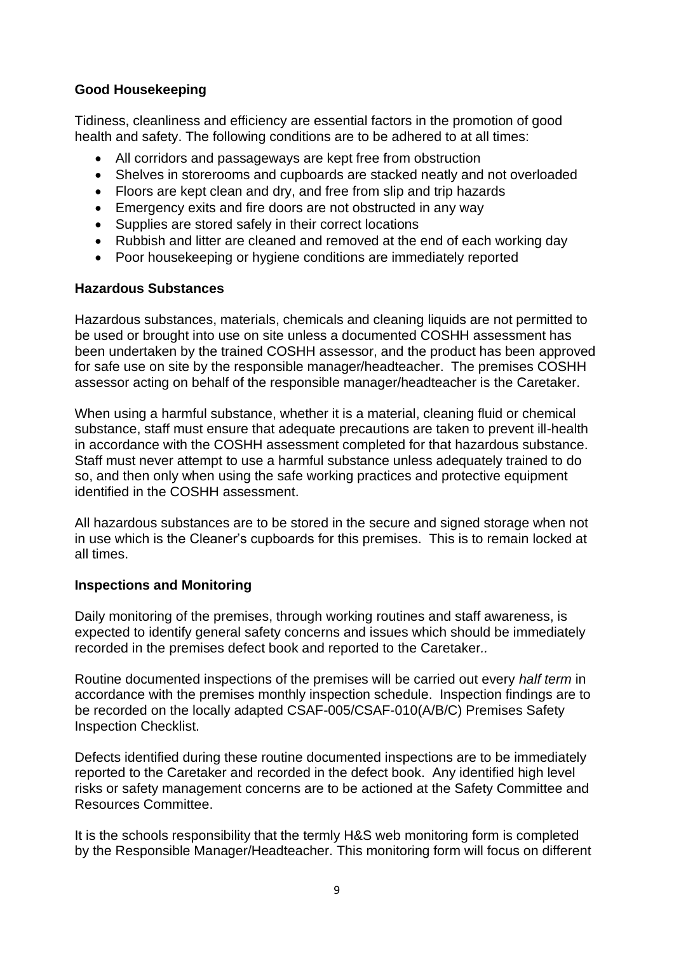## **Good Housekeeping**

Tidiness, cleanliness and efficiency are essential factors in the promotion of good health and safety. The following conditions are to be adhered to at all times:

- All corridors and passageways are kept free from obstruction
- Shelves in storerooms and cupboards are stacked neatly and not overloaded
- Floors are kept clean and dry, and free from slip and trip hazards
- Emergency exits and fire doors are not obstructed in any way
- Supplies are stored safely in their correct locations
- Rubbish and litter are cleaned and removed at the end of each working day
- Poor housekeeping or hygiene conditions are immediately reported

### **Hazardous Substances**

Hazardous substances, materials, chemicals and cleaning liquids are not permitted to be used or brought into use on site unless a documented COSHH assessment has been undertaken by the trained COSHH assessor, and the product has been approved for safe use on site by the responsible manager/headteacher. The premises COSHH assessor acting on behalf of the responsible manager/headteacher is the Caretaker.

When using a harmful substance, whether it is a material, cleaning fluid or chemical substance, staff must ensure that adequate precautions are taken to prevent ill-health in accordance with the COSHH assessment completed for that hazardous substance. Staff must never attempt to use a harmful substance unless adequately trained to do so, and then only when using the safe working practices and protective equipment identified in the COSHH assessment.

All hazardous substances are to be stored in the secure and signed storage when not in use which is the Cleaner's cupboards for this premises. This is to remain locked at all times.

### **Inspections and Monitoring**

Daily monitoring of the premises, through working routines and staff awareness, is expected to identify general safety concerns and issues which should be immediately recorded in the premises defect book and reported to the Caretaker*..*

Routine documented inspections of the premises will be carried out every *half term* in accordance with the premises monthly inspection schedule. Inspection findings are to be recorded on the locally adapted CSAF-005/CSAF-010(A/B/C) Premises Safety Inspection Checklist.

Defects identified during these routine documented inspections are to be immediately reported to the Caretaker and recorded in the defect book. Any identified high level risks or safety management concerns are to be actioned at the Safety Committee and Resources Committee.

It is the schools responsibility that the termly H&S web monitoring form is completed by the Responsible Manager/Headteacher. This monitoring form will focus on different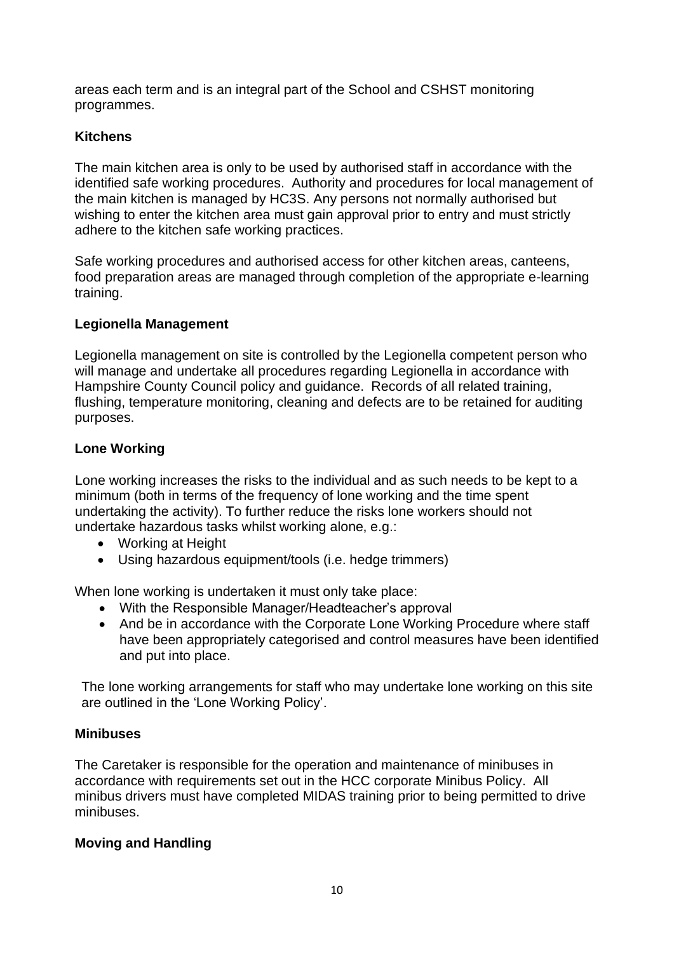areas each term and is an integral part of the School and CSHST monitoring programmes.

# **Kitchens**

The main kitchen area is only to be used by authorised staff in accordance with the identified safe working procedures. Authority and procedures for local management of the main kitchen is managed by HC3S. Any persons not normally authorised but wishing to enter the kitchen area must gain approval prior to entry and must strictly adhere to the kitchen safe working practices.

Safe working procedures and authorised access for other kitchen areas, canteens, food preparation areas are managed through completion of the appropriate e-learning training.

# **Legionella Management**

Legionella management on site is controlled by the Legionella competent person who will manage and undertake all procedures regarding Legionella in accordance with Hampshire County Council policy and guidance. Records of all related training, flushing, temperature monitoring, cleaning and defects are to be retained for auditing purposes.

# **Lone Working**

Lone working increases the risks to the individual and as such needs to be kept to a minimum (both in terms of the frequency of lone working and the time spent undertaking the activity). To further reduce the risks lone workers should not undertake hazardous tasks whilst working alone, e.g.:

- Working at Height
- Using hazardous equipment/tools (i.e. hedge trimmers)

When lone working is undertaken it must only take place:

- With the Responsible Manager/Headteacher's approval
- And be in accordance with the Corporate Lone Working Procedure where staff have been appropriately categorised and control measures have been identified and put into place.

The lone working arrangements for staff who may undertake lone working on this site are outlined in the 'Lone Working Policy'.

# **Minibuses**

The Caretaker is responsible for the operation and maintenance of minibuses in accordance with requirements set out in the HCC corporate Minibus Policy. All minibus drivers must have completed MIDAS training prior to being permitted to drive minibuses.

# **Moving and Handling**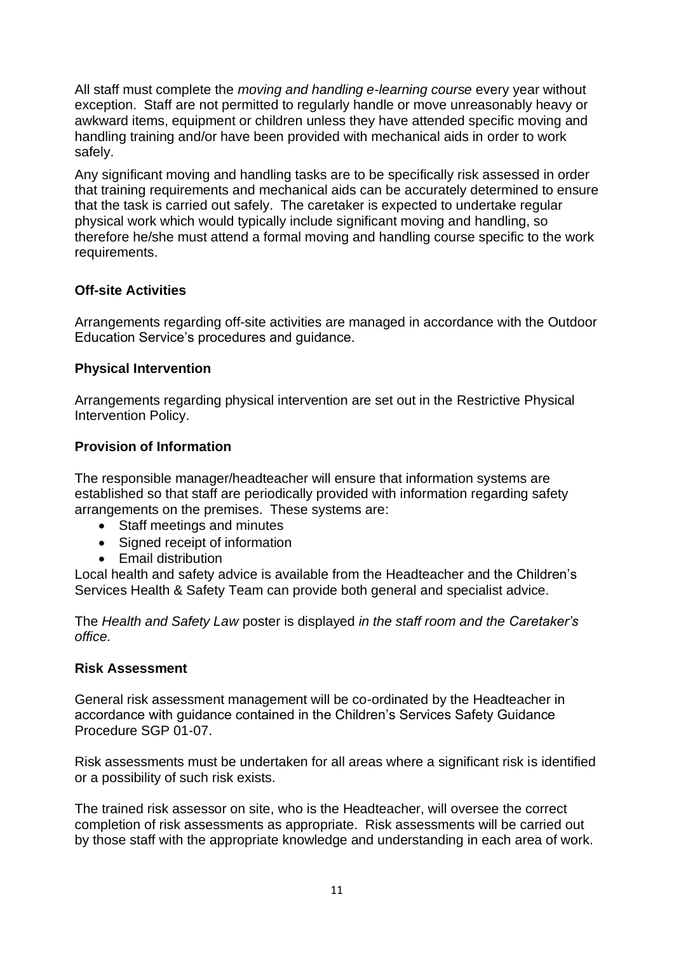All staff must complete the *moving and handling e-learning course* every year without exception. Staff are not permitted to regularly handle or move unreasonably heavy or awkward items, equipment or children unless they have attended specific moving and handling training and/or have been provided with mechanical aids in order to work safely.

Any significant moving and handling tasks are to be specifically risk assessed in order that training requirements and mechanical aids can be accurately determined to ensure that the task is carried out safely. The caretaker is expected to undertake regular physical work which would typically include significant moving and handling, so therefore he/she must attend a formal moving and handling course specific to the work requirements.

# **Off-site Activities**

Arrangements regarding off-site activities are managed in accordance with the Outdoor Education Service's procedures and guidance.

# **Physical Intervention**

Arrangements regarding physical intervention are set out in the Restrictive Physical Intervention Policy.

# **Provision of Information**

The responsible manager/headteacher will ensure that information systems are established so that staff are periodically provided with information regarding safety arrangements on the premises. These systems are:

- Staff meetings and minutes
- Signed receipt of information
- Email distribution

Local health and safety advice is available from the Headteacher and the Children's Services Health & Safety Team can provide both general and specialist advice.

The *Health and Safety Law* poster is displayed *in the staff room and the Caretaker's office.*

### **Risk Assessment**

General risk assessment management will be co-ordinated by the Headteacher in accordance with guidance contained in the Children's Services Safety Guidance Procedure SGP 01-07.

Risk assessments must be undertaken for all areas where a significant risk is identified or a possibility of such risk exists.

The trained risk assessor on site, who is the Headteacher, will oversee the correct completion of risk assessments as appropriate. Risk assessments will be carried out by those staff with the appropriate knowledge and understanding in each area of work.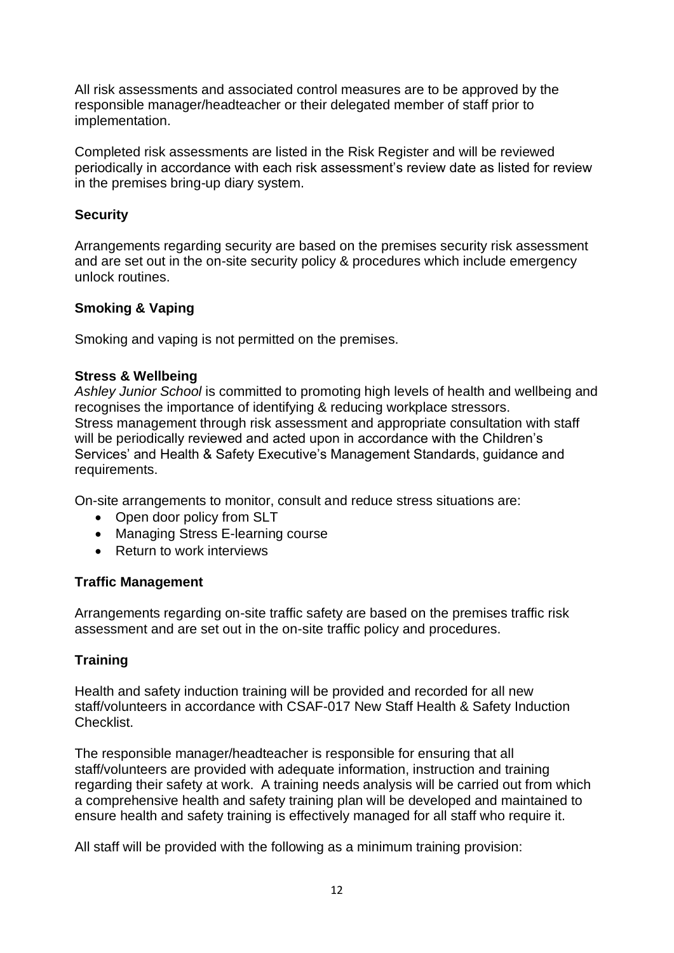All risk assessments and associated control measures are to be approved by the responsible manager/headteacher or their delegated member of staff prior to implementation.

Completed risk assessments are listed in the Risk Register and will be reviewed periodically in accordance with each risk assessment's review date as listed for review in the premises bring-up diary system.

## **Security**

Arrangements regarding security are based on the premises security risk assessment and are set out in the on-site security policy & procedures which include emergency unlock routines.

## **Smoking & Vaping**

Smoking and vaping is not permitted on the premises.

### **Stress & Wellbeing**

*Ashley Junior School* is committed to promoting high levels of health and wellbeing and recognises the importance of identifying & reducing workplace stressors. Stress management through risk assessment and appropriate consultation with staff will be periodically reviewed and acted upon in accordance with the Children's Services' and Health & Safety Executive's Management Standards, guidance and requirements.

On-site arrangements to monitor, consult and reduce stress situations are:

- Open door policy from SLT
- Managing Stress E-learning course
- Return to work interviews

### **Traffic Management**

Arrangements regarding on-site traffic safety are based on the premises traffic risk assessment and are set out in the on-site traffic policy and procedures.

# **Training**

Health and safety induction training will be provided and recorded for all new staff/volunteers in accordance with CSAF-017 New Staff Health & Safety Induction Checklist.

The responsible manager/headteacher is responsible for ensuring that all staff/volunteers are provided with adequate information, instruction and training regarding their safety at work. A training needs analysis will be carried out from which a comprehensive health and safety training plan will be developed and maintained to ensure health and safety training is effectively managed for all staff who require it.

All staff will be provided with the following as a minimum training provision: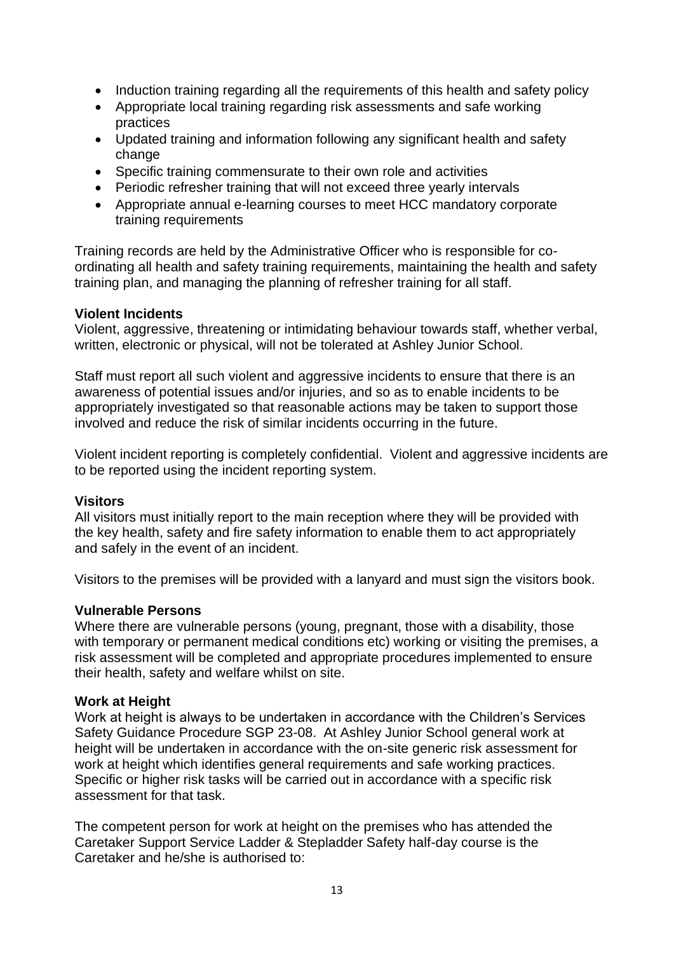- Induction training regarding all the requirements of this health and safety policy
- Appropriate local training regarding risk assessments and safe working practices
- Updated training and information following any significant health and safety change
- Specific training commensurate to their own role and activities
- Periodic refresher training that will not exceed three yearly intervals
- Appropriate annual e-learning courses to meet HCC mandatory corporate training requirements

Training records are held by the Administrative Officer who is responsible for coordinating all health and safety training requirements, maintaining the health and safety training plan, and managing the planning of refresher training for all staff.

### **Violent Incidents**

Violent, aggressive, threatening or intimidating behaviour towards staff, whether verbal, written, electronic or physical, will not be tolerated at Ashley Junior School.

Staff must report all such violent and aggressive incidents to ensure that there is an awareness of potential issues and/or injuries, and so as to enable incidents to be appropriately investigated so that reasonable actions may be taken to support those involved and reduce the risk of similar incidents occurring in the future.

Violent incident reporting is completely confidential. Violent and aggressive incidents are to be reported using the incident reporting system.

### **Visitors**

All visitors must initially report to the main reception where they will be provided with the key health, safety and fire safety information to enable them to act appropriately and safely in the event of an incident.

Visitors to the premises will be provided with a lanyard and must sign the visitors book.

# **Vulnerable Persons**

Where there are vulnerable persons (young, pregnant, those with a disability, those with temporary or permanent medical conditions etc) working or visiting the premises, a risk assessment will be completed and appropriate procedures implemented to ensure their health, safety and welfare whilst on site.

### **Work at Height**

Work at height is always to be undertaken in accordance with the Children's Services Safety Guidance Procedure SGP 23-08. At Ashley Junior School general work at height will be undertaken in accordance with the on-site generic risk assessment for work at height which identifies general requirements and safe working practices. Specific or higher risk tasks will be carried out in accordance with a specific risk assessment for that task.

The competent person for work at height on the premises who has attended the Caretaker Support Service Ladder & Stepladder Safety half-day course is the Caretaker and he/she is authorised to: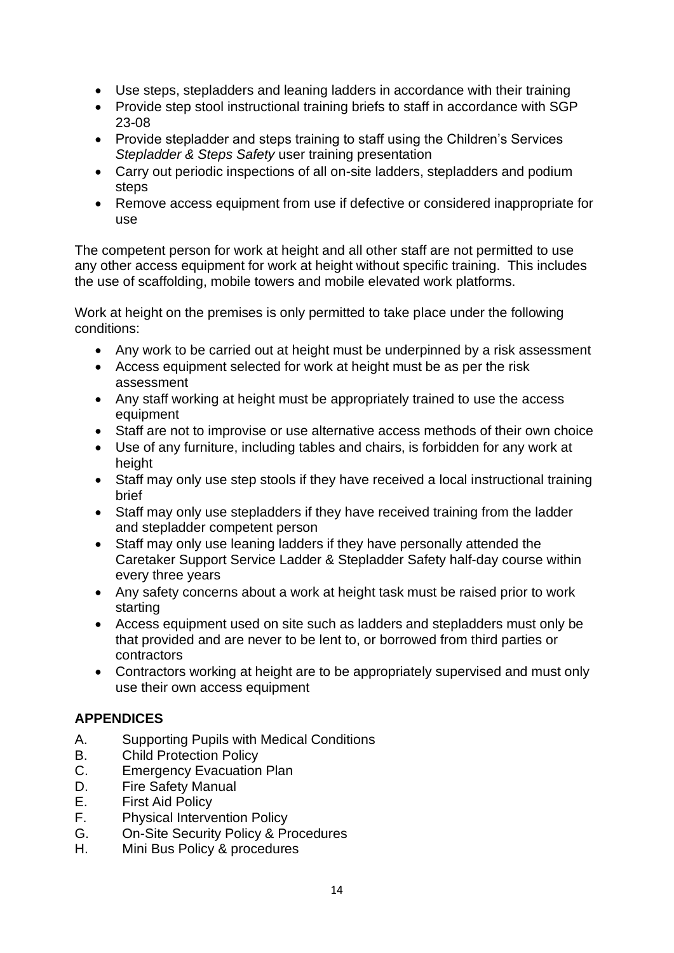- Use steps, stepladders and leaning ladders in accordance with their training
- Provide step stool instructional training briefs to staff in accordance with SGP 23-08
- Provide stepladder and steps training to staff using the Children's Services *Stepladder & Steps Safety* user training presentation
- Carry out periodic inspections of all on-site ladders, stepladders and podium steps
- Remove access equipment from use if defective or considered inappropriate for use

The competent person for work at height and all other staff are not permitted to use any other access equipment for work at height without specific training. This includes the use of scaffolding, mobile towers and mobile elevated work platforms.

Work at height on the premises is only permitted to take place under the following conditions:

- Any work to be carried out at height must be underpinned by a risk assessment
- Access equipment selected for work at height must be as per the risk assessment
- Any staff working at height must be appropriately trained to use the access equipment
- Staff are not to improvise or use alternative access methods of their own choice
- Use of any furniture, including tables and chairs, is forbidden for any work at height
- Staff may only use step stools if they have received a local instructional training brief
- Staff may only use stepladders if they have received training from the ladder and stepladder competent person
- Staff may only use leaning ladders if they have personally attended the Caretaker Support Service Ladder & Stepladder Safety half-day course within every three years
- Any safety concerns about a work at height task must be raised prior to work starting
- Access equipment used on site such as ladders and stepladders must only be that provided and are never to be lent to, or borrowed from third parties or contractors
- Contractors working at height are to be appropriately supervised and must only use their own access equipment

# **APPENDICES**

- A. Supporting Pupils with Medical Conditions
- B. Child Protection Policy
- C. Emergency Evacuation Plan
- D. Fire Safety Manual
- E. First Aid Policy
- F. Physical Intervention Policy
- G. On-Site Security Policy & Procedures
- H. Mini Bus Policy & procedures